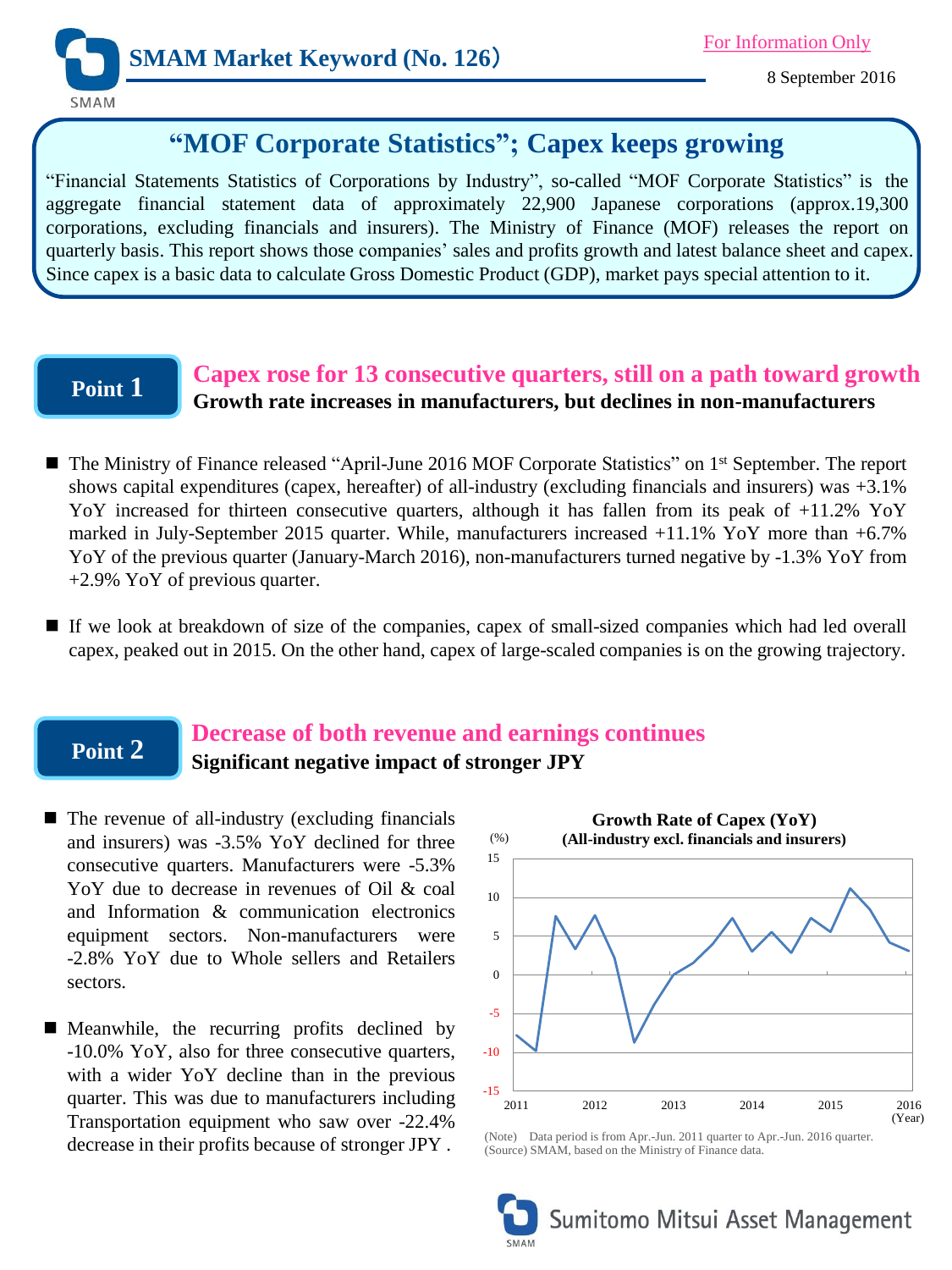

# **"MOF Corporate Statistics"; Capex keeps growing**

"Financial Statements Statistics of Corporations by Industry", so-called "MOF Corporate Statistics" is the aggregate financial statement data of approximately 22,900 Japanese corporations (approx.19,300 corporations, excluding financials and insurers). The Ministry of Finance (MOF) releases the report on quarterly basis. This report shows those companies' sales and profits growth and latest balance sheet and capex. Since capex is a basic data to calculate Gross Domestic Product (GDP), market pays special attention to it.

## **Point 1**

### **Capex rose for 13 consecutive quarters, still on a path toward growth Growth rate increases in manufacturers, but declines in non-manufacturers**

- The Ministry of Finance released "April-June 2016 MOF Corporate Statistics" on 1<sup>st</sup> September. The report shows capital expenditures (capex, hereafter) of all-industry (excluding financials and insurers) was +3.1% YoY increased for thirteen consecutive quarters, although it has fallen from its peak of +11.2% YoY marked in July-September 2015 quarter. While, manufacturers increased +11.1% YoY more than +6.7% YoY of the previous quarter (January-March 2016), non-manufacturers turned negative by -1.3% YoY from +2.9% YoY of previous quarter.
- If we look at breakdown of size of the companies, capex of small-sized companies which had led overall capex, peaked out in 2015. On the other hand, capex of large-scaled companies is on the growing trajectory.

## **Point 2**

### **Decrease of both revenue and earnings continues Significant negative impact of stronger JPY**

- $\blacksquare$  The revenue of all-industry (excluding financials and insurers) was -3.5% YoY declined for three consecutive quarters. Manufacturers were -5.3% YoY due to decrease in revenues of Oil & coal and Information & communication electronics equipment sectors. Non-manufacturers were -2.8% YoY due to Whole sellers and Retailers sectors.
- **Meanwhile, the recurring profits declined by** -10.0% YoY, also for three consecutive quarters, with a wider YoY decline than in the previous quarter. This was due to manufacturers including Transportation equipment who saw over -22.4% decrease in their profits because of stronger JPY .



<sup>(</sup>Note) Data period is from Apr.-Jun. 2011 quarter to Apr.-Jun. 2016 quarter. (Source) SMAM, based on the Ministry of Finance data.

Sumitomo Mitsui Asset Management